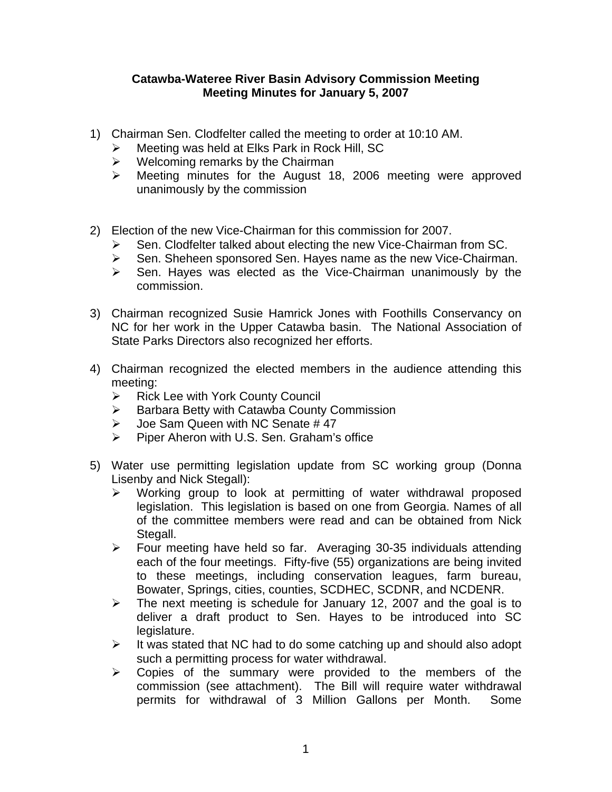## **Catawba-Wateree River Basin Advisory Commission Meeting Meeting Minutes for January 5, 2007**

- 1) Chairman Sen. Clodfelter called the meeting to order at 10:10 AM.
	- $\triangleright$  Meeting was held at Elks Park in Rock Hill, SC
	- $\triangleright$  Welcoming remarks by the Chairman
	- ¾ Meeting minutes for the August 18, 2006 meeting were approved unanimously by the commission
- 2) Election of the new Vice-Chairman for this commission for 2007.
	- Sen. Clodfelter talked about electing the new Vice-Chairman from SC.
	- ¾ Sen. Sheheen sponsored Sen. Hayes name as the new Vice-Chairman.
	- $\triangleright$  Sen. Hayes was elected as the Vice-Chairman unanimously by the commission.
- 3) Chairman recognized Susie Hamrick Jones with Foothills Conservancy on NC for her work in the Upper Catawba basin. The National Association of State Parks Directors also recognized her efforts.
- 4) Chairman recognized the elected members in the audience attending this meeting:
	- $\triangleright$  Rick Lee with York County Council
	- ¾ Barbara Betty with Catawba County Commission
	- $\geq$  Joe Sam Queen with NC Senate # 47<br>  $\geq$  Piper Aheron with U.S. Sen Graham's
	- ¾ Piper Aheron with U.S. Sen. Graham's office
- 5) Water use permitting legislation update from SC working group (Donna Lisenby and Nick Stegall):
	- $\triangleright$  Working group to look at permitting of water withdrawal proposed legislation. This legislation is based on one from Georgia. Names of all of the committee members were read and can be obtained from Nick Stegall.
	- ¾ Four meeting have held so far. Averaging 30-35 individuals attending each of the four meetings. Fifty-five (55) organizations are being invited to these meetings, including conservation leagues, farm bureau, Bowater, Springs, cities, counties, SCDHEC, SCDNR, and NCDENR.
	- $\triangleright$  The next meeting is schedule for January 12, 2007 and the goal is to deliver a draft product to Sen. Hayes to be introduced into SC legislature.
	- $\triangleright$  It was stated that NC had to do some catching up and should also adopt such a permitting process for water withdrawal.
	- $\triangleright$  Copies of the summary were provided to the members of the commission (see attachment). The Bill will require water withdrawal permits for withdrawal of 3 Million Gallons per Month. Some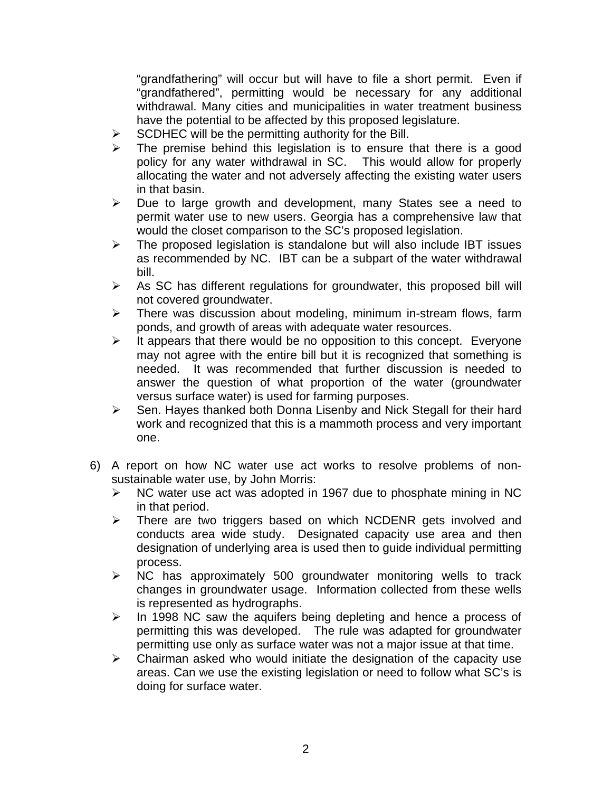"grandfathering" will occur but will have to file a short permit. Even if "grandfathered", permitting would be necessary for any additional withdrawal. Many cities and municipalities in water treatment business have the potential to be affected by this proposed legislature.

- $\triangleright$  SCDHEC will be the permitting authority for the Bill.
- $\triangleright$  The premise behind this legislation is to ensure that there is a good policy for any water withdrawal in SC. This would allow for properly allocating the water and not adversely affecting the existing water users in that basin.
- $\triangleright$  Due to large growth and development, many States see a need to permit water use to new users. Georgia has a comprehensive law that would the closet comparison to the SC's proposed legislation.
- $\triangleright$  The proposed legislation is standalone but will also include IBT issues as recommended by NC. IBT can be a subpart of the water withdrawal bill.
- $\triangleright$  As SC has different regulations for groundwater, this proposed bill will not covered groundwater.
- $\triangleright$  There was discussion about modeling, minimum in-stream flows, farm ponds, and growth of areas with adequate water resources.
- $\triangleright$  It appears that there would be no opposition to this concept. Everyone may not agree with the entire bill but it is recognized that something is needed. It was recommended that further discussion is needed to answer the question of what proportion of the water (groundwater versus surface water) is used for farming purposes.
- ¾ Sen. Hayes thanked both Donna Lisenby and Nick Stegall for their hard work and recognized that this is a mammoth process and very important one.
- 6) A report on how NC water use act works to resolve problems of nonsustainable water use, by John Morris:
	- $\triangleright$  NC water use act was adopted in 1967 due to phosphate mining in NC in that period.
	- $\triangleright$  There are two triggers based on which NCDENR gets involved and conducts area wide study. Designated capacity use area and then designation of underlying area is used then to guide individual permitting process.
	- $\triangleright$  NC has approximately 500 groundwater monitoring wells to track changes in groundwater usage. Information collected from these wells is represented as hydrographs.
	- $\triangleright$  In 1998 NC saw the aquifers being depleting and hence a process of permitting this was developed. The rule was adapted for groundwater permitting use only as surface water was not a major issue at that time.
	- $\triangleright$  Chairman asked who would initiate the designation of the capacity use areas. Can we use the existing legislation or need to follow what SC's is doing for surface water.